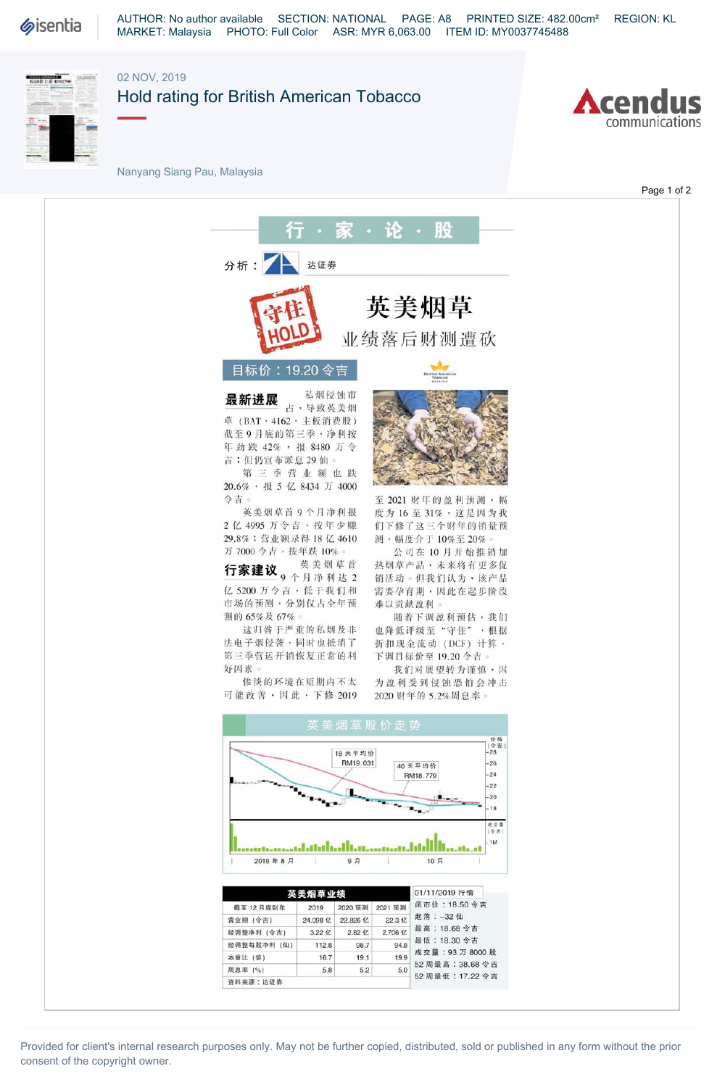

AUTHOR: No author available SECTION: NATIONAL PAGE: A8 PRINTED SIZE: 482.00cm² REGION: KL MARKET: Malaysia PHOTO: Full Color ASR: MYR 6,063.00 ITEM ID: MY0037745488



## 02 NOV, 2019 Hold rating for British American Tobacco

Nanyang Siang Pau, Malaysia



Page 1 of 2

RG 分析: 上 达证券 英美烟草 业绩落后财测遭砍 目标价: 19.20 令吉 Toucco 最新进展 私烟侵蚀市 占,导致英美烟 草(BAT, 4162, 主板消费股) 截至9月底的第三季,净利按 年劲跌42%,报8480万令 吉;但仍宣布派息29仙。 第二季营业额也跌 20.6%,报 <sup>5</sup> <sup>亿</sup> 8434 <sup>万</sup> 4000 令吉。 英美烟草首9个月净利报 2亿4995万令吉,按年少赚 29.8% :营业额录得18亿4610 测,幅度介于10%至20%。 万7000令吉,按年跌10%。<br><del>行家建议</del><br> 公司在10月开始推销加 行家建议 9 个月净利达 2 销活动。但我们认为,该产品 亿5200万令吉,低于我们和 市场的预测,分别仅占全年预 难以贡献盈利。 测的65%及67%。 随着下调盈利预估,我们 这归咎于严重的私烟及非 法电子烟侵袭,同时也抵消了 折扣现金流动(DCF)计算, 第三季营运开销恢复正常的利 下调目标价至19.20令吉。 好因素。 我们对展望转为谨慎,因 惨淡的环境在短期内不太 为盈利受到侵蚀恐怕会冲击 2020财年的5.2%周息率。 可能改善,因此,下修2019 价格<br>(令吉<br>-28 18 天平均价 RM19.031  $-26$ 40天平均价  $-24$ RM18.779  $-22$  $20\,$ 



至 2021 财年的盈利预测,幅 度为16至31%,这是因为我 们下修了这三个财年的销量预

热烟草产品,未来将有更多促 需要孕育期,因此在起步阶段

也降低评级至"守住",根据



| 英美烟草业绩      |          |              |         | 01/11/2019 行情                                                                                    |
|-------------|----------|--------------|---------|--------------------------------------------------------------------------------------------------|
| 截至12月底财年    | 2019     | 2020 预测      | 2021 预测 | 闭市价: 18.50 令吉<br>起落:-32仙<br>最高: 18.68 令吉<br>最低: 18.30 令吉<br>成交量: 93 万 8000 股<br>52 周最高: 38.68 令吉 |
| 营业额 (令吉)    | 24.098 亿 | 22.826 亿     | 22.3 亿  |                                                                                                  |
| 经调整净利 (今吉)  | 3.22 fZ  | $2.82$ $17.$ | 2.706 亿 |                                                                                                  |
| 经调整每股净利 (仙) | 112.8    | 98.7         | 94.8    |                                                                                                  |
| 本益比 (倍)     | 16.7     | 19.1         | 19.9    |                                                                                                  |
| 周息率 (%)     | 5.8      | 5.2          | 5.0     |                                                                                                  |
| 资料来源:达证券    |          |              |         | 52 周最低: 17.22 令吉                                                                                 |

Provided for client's internal research purposes only. May not be further copied, distributed, sold or published in any form without the prior consent of the copyright owner.